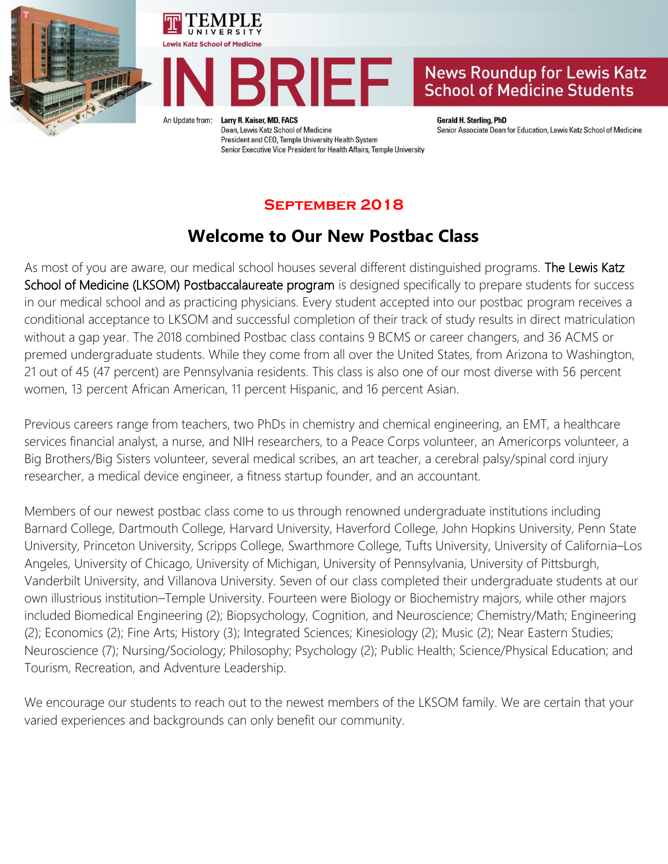





An Update from:

Larry R. Kaiser, MD, FACS Dean, Lewis Katz School of Medicine President and CEO, Temple University Health System Senior Executive Vice President for Health Affairs, Temple University **Gerald H. Sterling, PhD** Senior Associate Dean for Education, Lewis Katz School of Medicine

### **September 2018**

### **Welcome to Our New Postbac Class**

As most of you are aware, our medical school houses several different distinguished programs. The Lewis Katz School of Medicine (LKSOM) Postbaccalaureate program is designed specifically to prepare students for success in our medical school and as practicing physicians. Every student accepted into our postbac program receives a conditional acceptance to LKSOM and successful completion of their track of study results in direct matriculation without a gap year. The 2018 combined Postbac class contains 9 BCMS or career changers, and 36 ACMS or premed undergraduate students. While they come from all over the United States, from Arizona to Washington, 21 out of 45 (47 percent) are Pennsylvania residents. This class is also one of our most diverse with 56 percent women, 13 percent African American, 11 percent Hispanic, and 16 percent Asian.

Previous careers range from teachers, two PhDs in chemistry and chemical engineering, an EMT, a healthcare services financial analyst, a nurse, and NIH researchers, to a Peace Corps volunteer, an Americorps volunteer, a Big Brothers/Big Sisters volunteer, several medical scribes, an art teacher, a cerebral palsy/spinal cord injury researcher, a medical device engineer, a fitness startup founder, and an accountant.

Members of our newest postbac class come to us through renowned undergraduate institutions including Barnard College, Dartmouth College, Harvard University, Haverford College, John Hopkins University, Penn State University, Princeton University, Scripps College, Swarthmore College, Tufts University, University of California–Los Angeles, University of Chicago, University of Michigan, University of Pennsylvania, University of Pittsburgh, Vanderbilt University, and Villanova University. Seven of our class completed their undergraduate students at our own illustrious institution–Temple University. Fourteen were Biology or Biochemistry majors, while other majors included Biomedical Engineering (2); Biopsychology, Cognition, and Neuroscience; Chemistry/Math; Engineering (2); Economics (2); Fine Arts; History (3); Integrated Sciences; Kinesiology (2); Music (2); Near Eastern Studies; Neuroscience (7); Nursing/Sociology; Philosophy; Psychology (2); Public Health; Science/Physical Education; and Tourism, Recreation, and Adventure Leadership.

We encourage our students to reach out to the newest members of the LKSOM family. We are certain that your varied experiences and backgrounds can only benefit our community.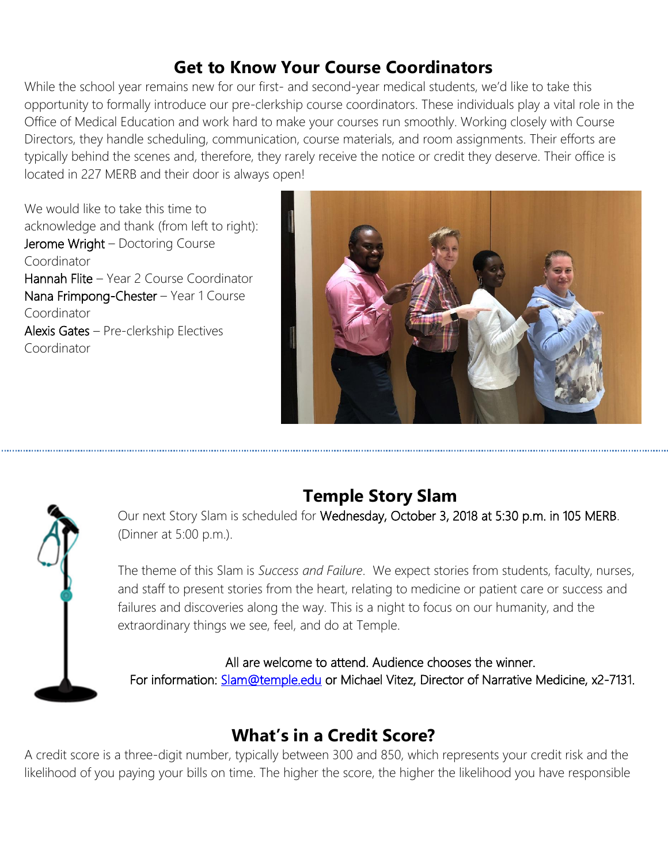## **Get to Know Your Course Coordinators**

While the school year remains new for our first- and second-year medical students, we'd like to take this opportunity to formally introduce our pre-clerkship course coordinators. These individuals play a vital role in the Office of Medical Education and work hard to make your courses run smoothly. Working closely with Course Directors, they handle scheduling, communication, course materials, and room assignments. Their efforts are typically behind the scenes and, therefore, they rarely receive the notice or credit they deserve. Their office is located in 227 MERB and their door is always open!

We would like to take this time to acknowledge and thank (from left to right): Jerome Wright – Doctoring Course Coordinator Hannah Flite – Year 2 Course Coordinator Nana Frimpong-Chester – Year 1 Course Coordinator Alexis Gates – Pre-clerkship Electives Coordinator





# **Temple Story Slam**

Our next Story Slam is scheduled for Wednesday, October 3, 2018 at 5:30 p.m. in 105 MERB. (Dinner at 5:00 p.m.).

The theme of this Slam is *Success and Failure*. We expect stories from students, faculty, nurses, and staff to present stories from the heart, relating to medicine or patient care or success and failures and discoveries along the way. This is a night to focus on our humanity, and the extraordinary things we see, feel, and do at Temple.

All are welcome to attend. Audience chooses the winner.

For information: [Slam@temple.edu](mailto:Slam@temple.edu) or Michael Vitez, Director of Narrative Medicine, x2-7131.

# **What's in a Credit Score?**

A credit score is a three-digit number, typically between 300 and 850, which represents your credit risk and the likelihood of you paying your bills on time. The higher the score, the higher the likelihood you have responsible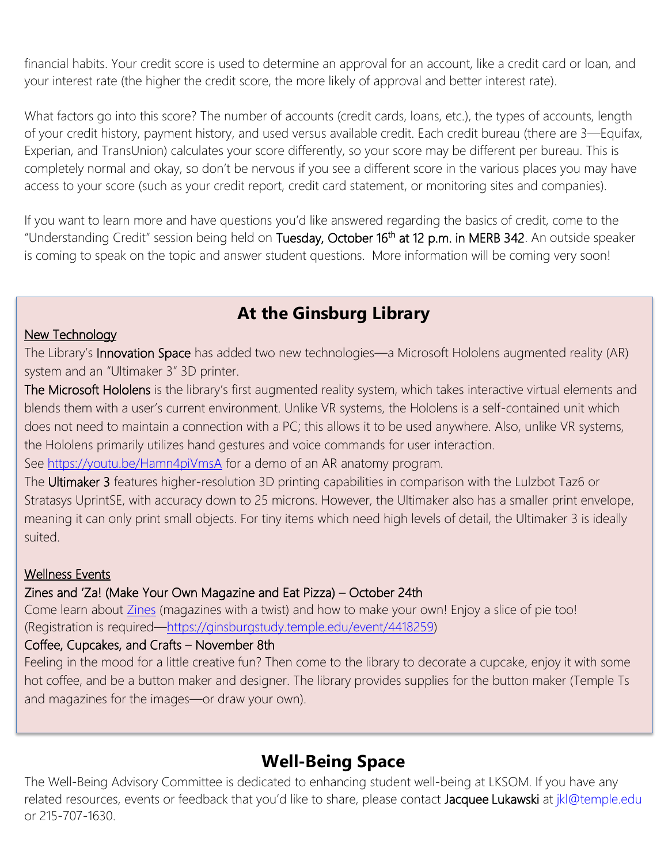financial habits. Your credit score is used to determine an approval for an account, like a credit card or loan, and your interest rate (the higher the credit score, the more likely of approval and better interest rate).

What factors go into this score? The number of accounts (credit cards, loans, etc.), the types of accounts, length of your credit history, payment history, and used versus available credit. Each credit bureau (there are 3—Equifax, Experian, and TransUnion) calculates your score differently, so your score may be different per bureau. This is completely normal and okay, so don't be nervous if you see a different score in the various places you may have access to your score (such as your credit report, credit card statement, or monitoring sites and companies).

If you want to learn more and have questions you'd like answered regarding the basics of credit, come to the "Understanding Credit" session being held on Tuesday, October 16<sup>th</sup> at 12 p.m. in MERB 342. An outside speaker is coming to speak on the topic and answer student questions. More information will be coming very soon!

## **At the Ginsburg Library**

#### New Technology

The Library's Innovation Space has added two new technologies—a Microsoft Hololens augmented reality (AR) system and an "Ultimaker 3" 3D printer.

The Microsoft Hololens is the library's first augmented reality system, which takes interactive virtual elements and blends them with a user's current environment. Unlike VR systems, the Hololens is a self-contained unit which does not need to maintain a connection with a PC; this allows it to be used anywhere. Also, unlike VR systems, the Hololens primarily utilizes hand gestures and voice commands for user interaction.

See<https://youtu.be/Hamn4piVmsA>for a demo of an AR anatomy program.

The Ultimaker 3 features higher-resolution 3D printing capabilities in comparison with the Lulzbot Taz6 or Stratasys UprintSE, with accuracy down to 25 microns. However, the Ultimaker also has a smaller print envelope, meaning it can only print small objects. For tiny items which need high levels of detail, the Ultimaker 3 is ideally suited.

#### Wellness Events

#### Zines and 'Za! (Make Your Own Magazine and Eat Pizza) – October 24th

Come learn about [Zines](https://www.graphicmedicine.org/comic-type/zine/) (magazines with a twist) and how to make your own! Enjoy a slice of pie too! (Registration is required—[https://ginsburgstudy.temple.edu/event/4418259\)](https://ginsburgstudy.temple.edu/event/4418259)

#### Coffee, Cupcakes, and Crafts – November 8th

Feeling in the mood for a little creative fun? Then come to the library to decorate a cupcake, enjoy it with some hot coffee, and be a button maker and designer. The library provides supplies for the button maker (Temple Ts and magazines for the images—or draw your own).

### **Well-Being Space**

The Well-Being Advisory Committee is dedicated to enhancing student well-being at LKSOM. If you have any related resources, events or feedback that you'd like to share, please contact Jacquee Lukawski at jkl@temple.edu or 215-707-1630.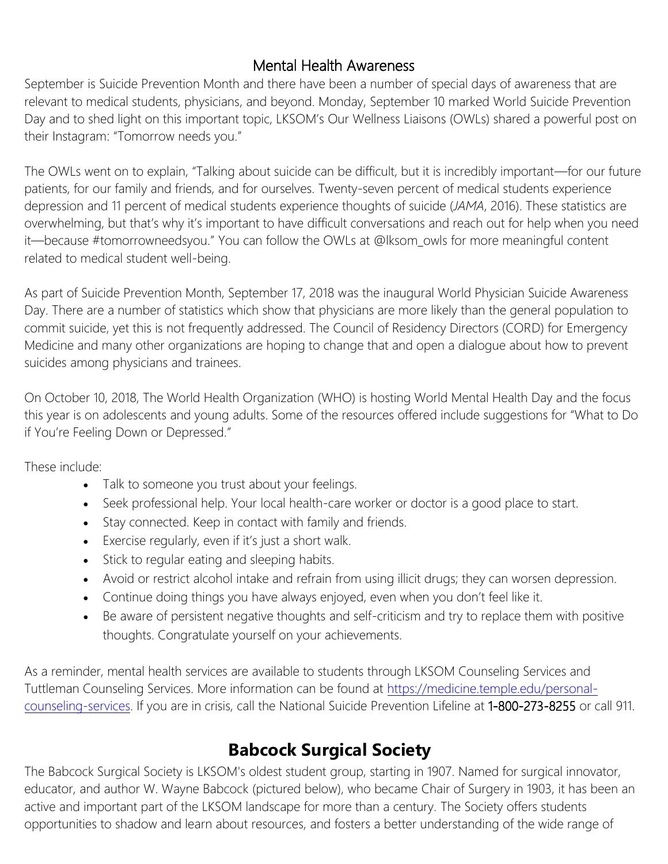### Mental Health Awareness

September is Suicide Prevention Month and there have been a number of special days of awareness that are relevant to medical students, physicians, and beyond. Monday, September 10 marked World Suicide Prevention Day and to shed light on this important topic, LKSOM's Our Wellness Liaisons (OWLs) shared a powerful post on their Instagram: "Tomorrow needs you."

The OWLs went on to explain, "Talking about suicide can be difficult, but it is incredibly important—for our future patients, for our family and friends, and for ourselves. Twenty-seven percent of medical students experience depression and 11 percent of medical students experience thoughts of suicide (*JAMA*, 2016). These statistics are overwhelming, but that's why it's important to have difficult conversations and reach out for help when you need it—because #tomorrowneedsyou." You can follow the OWLs at @lksom\_owls for more meaningful content related to medical student well-being.

As part of Suicide Prevention Month, September 17, 2018 was the inaugural World Physician Suicide Awareness Day. There are a number of statistics which show that physicians are more likely than the general population to commit suicide, yet this is not frequently addressed. The Council of Residency Directors (CORD) for Emergency Medicine and many other organizations are hoping to change that and open a dialogue about how to prevent suicides among physicians and trainees.

On October 10, 2018, The World Health Organization (WHO) is hosting World Mental Health Day and the focus this year is on adolescents and young adults. Some of the resources offered include suggestions for "What to Do if You're Feeling Down or Depressed."

These include:

- Talk to someone you trust about your feelings.
- Seek professional help. Your local health-care worker or doctor is a good place to start.
- Stay connected. Keep in contact with family and friends.
- Exercise regularly, even if it's just a short walk.
- Stick to regular eating and sleeping habits.
- Avoid or restrict alcohol intake and refrain from using illicit drugs; they can worsen depression.
- Continue doing things you have always enjoyed, even when you don't feel like it.
- Be aware of persistent negative thoughts and self-criticism and try to replace them with positive thoughts. Congratulate yourself on your achievements.

As a reminder, mental health services are available to students through LKSOM Counseling Services and Tuttleman Counseling Services. More information can be found at [https://medicine.temple.edu/personal](https://medicine.temple.edu/personal-counseling-services)[counseling-services.](https://medicine.temple.edu/personal-counseling-services) If you are in crisis, call the National Suicide Prevention Lifeline at 1-800-273-8255 or call 911.

# **Babcock Surgical Society**

The Babcock Surgical Society is LKSOM's oldest student group, starting in 1907. Named for surgical innovator, educator, and author W. Wayne Babcock (pictured below), who became Chair of Surgery in 1903, it has been an active and important part of the LKSOM landscape for more than a century. The Society offers students opportunities to shadow and learn about resources, and fosters a better understanding of the wide range of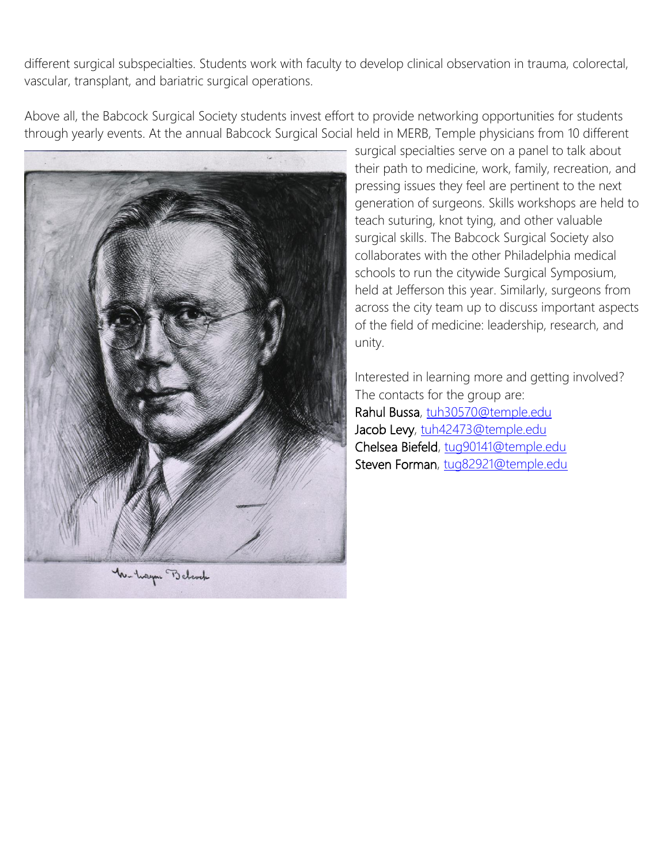different surgical subspecialties. Students work with faculty to develop clinical observation in trauma, colorectal, vascular, transplant, and bariatric surgical operations.

Above all, the Babcock Surgical Society students invest effort to provide networking opportunities for students through yearly events. At the annual Babcock Surgical Social held in MERB, Temple physicians from 10 different



surgical specialties serve on a panel to talk about their path to medicine, work, family, recreation, and pressing issues they feel are pertinent to the next generation of surgeons. Skills workshops are held to teach suturing, knot tying, and other valuable surgical skills. The Babcock Surgical Society also collaborates with the other Philadelphia medical schools to run the citywide Surgical Symposium, held at Jefferson this year. Similarly, surgeons from across the city team up to discuss important aspects of the field of medicine: leadership, research, and unity.

Interested in learning more and getting involved? The contacts for the group are: Rahul Bussa, [tuh30570@temple.edu](mailto:tuh30570@temple.edu)  Jacob Levy, tuh42473@temple.edu Chelsea Biefeld, [tug90141@temple.edu](mailto:tug90141@temple.edu)  Steven Forman, [tug82921@temple.edu](mailto:tug82921@temple.edu)